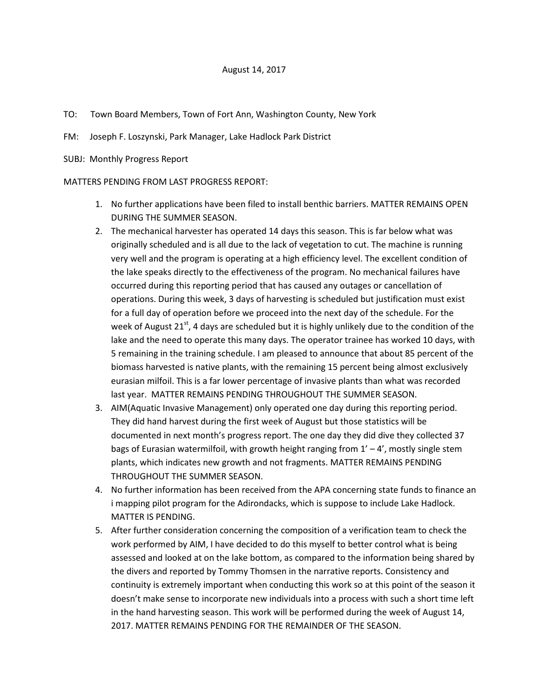- TO: Town Board Members, Town of Fort Ann, Washington County, New York
- FM: Joseph F. Loszynski, Park Manager, Lake Hadlock Park District
- SUBJ: Monthly Progress Report

## MATTERS PENDING FROM LAST PROGRESS REPORT:

- 1. No further applications have been filed to install benthic barriers. MATTER REMAINS OPEN DURING THE SUMMER SEASON.
- 2. The mechanical harvester has operated 14 days this season. This is far below what was originally scheduled and is all due to the lack of vegetation to cut. The machine is running very well and the program is operating at a high efficiency level. The excellent condition of the lake speaks directly to the effectiveness of the program. No mechanical failures have occurred during this reporting period that has caused any outages or cancellation of operations. During this week, 3 days of harvesting is scheduled but justification must exist for a full day of operation before we proceed into the next day of the schedule. For the week of August  $21^{st}$ , 4 days are scheduled but it is highly unlikely due to the condition of the lake and the need to operate this many days. The operator trainee has worked 10 days, with 5 remaining in the training schedule. I am pleased to announce that about 85 percent of the biomass harvested is native plants, with the remaining 15 percent being almost exclusively eurasian milfoil. This is a far lower percentage of invasive plants than what was recorded last year. MATTER REMAINS PENDING THROUGHOUT THE SUMMER SEASON.
- 3. AIM(Aquatic Invasive Management) only operated one day during this reporting period. They did hand harvest during the first week of August but those statistics will be documented in next month's progress report. The one day they did dive they collected 37 bags of Eurasian watermilfoil, with growth height ranging from  $1' - 4'$ , mostly single stem plants, which indicates new growth and not fragments. MATTER REMAINS PENDING THROUGHOUT THE SUMMER SEASON.
- 4. No further information has been received from the APA concerning state funds to finance an i mapping pilot program for the Adirondacks, which is suppose to include Lake Hadlock. MATTER IS PENDING.
- 5. After further consideration concerning the composition of a verification team to check the work performed by AIM, I have decided to do this myself to better control what is being assessed and looked at on the lake bottom, as compared to the information being shared by the divers and reported by Tommy Thomsen in the narrative reports. Consistency and continuity is extremely important when conducting this work so at this point of the season it doesn't make sense to incorporate new individuals into a process with such a short time left in the hand harvesting season. This work will be performed during the week of August 14, 2017. MATTER REMAINS PENDING FOR THE REMAINDER OF THE SEASON.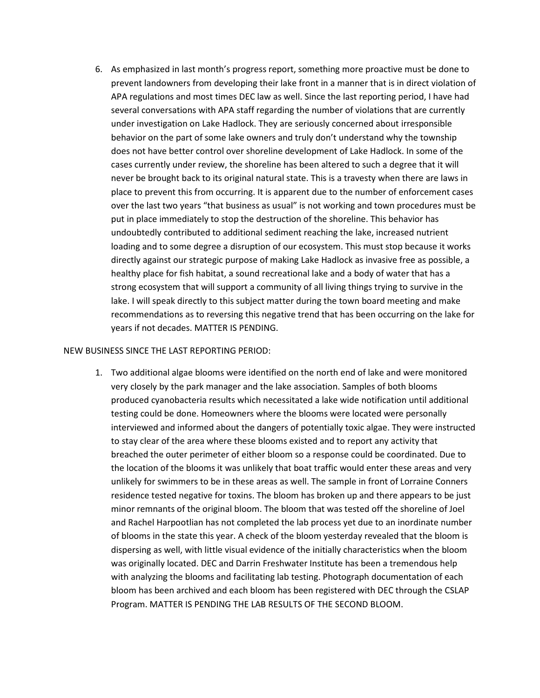6. As emphasized in last month's progress report, something more proactive must be done to prevent landowners from developing their lake front in a manner that is in direct violation of APA regulations and most times DEC law as well. Since the last reporting period, I have had several conversations with APA staff regarding the number of violations that are currently under investigation on Lake Hadlock. They are seriously concerned about irresponsible behavior on the part of some lake owners and truly don't understand why the township does not have better control over shoreline development of Lake Hadlock. In some of the cases currently under review, the shoreline has been altered to such a degree that it will never be brought back to its original natural state. This is a travesty when there are laws in place to prevent this from occurring. It is apparent due to the number of enforcement cases over the last two years "that business as usual" is not working and town procedures must be put in place immediately to stop the destruction of the shoreline. This behavior has undoubtedly contributed to additional sediment reaching the lake, increased nutrient loading and to some degree a disruption of our ecosystem. This must stop because it works directly against our strategic purpose of making Lake Hadlock as invasive free as possible, a healthy place for fish habitat, a sound recreational lake and a body of water that has a strong ecosystem that will support a community of all living things trying to survive in the lake. I will speak directly to this subject matter during the town board meeting and make recommendations as to reversing this negative trend that has been occurring on the lake for years if not decades. MATTER IS PENDING.

## NEW BUSINESS SINCE THE LAST REPORTING PERIOD:

1. Two additional algae blooms were identified on the north end of lake and were monitored very closely by the park manager and the lake association. Samples of both blooms produced cyanobacteria results which necessitated a lake wide notification until additional testing could be done. Homeowners where the blooms were located were personally interviewed and informed about the dangers of potentially toxic algae. They were instructed to stay clear of the area where these blooms existed and to report any activity that breached the outer perimeter of either bloom so a response could be coordinated. Due to the location of the blooms it was unlikely that boat traffic would enter these areas and very unlikely for swimmers to be in these areas as well. The sample in front of Lorraine Conners residence tested negative for toxins. The bloom has broken up and there appears to be just minor remnants of the original bloom. The bloom that was tested off the shoreline of Joel and Rachel Harpootlian has not completed the lab process yet due to an inordinate number of blooms in the state this year. A check of the bloom yesterday revealed that the bloom is dispersing as well, with little visual evidence of the initially characteristics when the bloom was originally located. DEC and Darrin Freshwater Institute has been a tremendous help with analyzing the blooms and facilitating lab testing. Photograph documentation of each bloom has been archived and each bloom has been registered with DEC through the CSLAP Program. MATTER IS PENDING THE LAB RESULTS OF THE SECOND BLOOM.